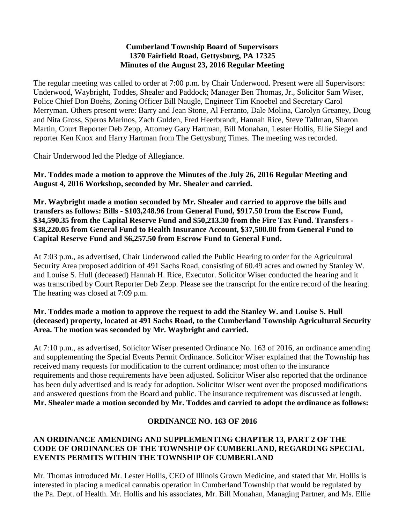#### **Cumberland Township Board of Supervisors 1370 Fairfield Road, Gettysburg, PA 17325 Minutes of the August 23, 2016 Regular Meeting**

The regular meeting was called to order at 7:00 p.m. by Chair Underwood. Present were all Supervisors: Underwood, Waybright, Toddes, Shealer and Paddock; Manager Ben Thomas, Jr., Solicitor Sam Wiser, Police Chief Don Boehs, Zoning Officer Bill Naugle, Engineer Tim Knoebel and Secretary Carol Merryman. Others present were: Barry and Jean Stone, Al Ferranto, Dale Molina, Carolyn Greaney, Doug and Nita Gross, Speros Marinos, Zach Gulden, Fred Heerbrandt, Hannah Rice, Steve Tallman, Sharon Martin, Court Reporter Deb Zepp, Attorney Gary Hartman, Bill Monahan, Lester Hollis, Ellie Siegel and reporter Ken Knox and Harry Hartman from The Gettysburg Times. The meeting was recorded.

Chair Underwood led the Pledge of Allegiance.

**Mr. Toddes made a motion to approve the Minutes of the July 26, 2016 Regular Meeting and August 4, 2016 Workshop, seconded by Mr. Shealer and carried.**

**Mr. Waybright made a motion seconded by Mr. Shealer and carried to approve the bills and transfers as follows: Bills - \$103,248.96 from General Fund, \$917.50 from the Escrow Fund, \$34,590.35 from the Capital Reserve Fund and \$50,213.30 from the Fire Tax Fund. Transfers - \$38,220.05 from General Fund to Health Insurance Account, \$37,500.00 from General Fund to Capital Reserve Fund and \$6,257.50 from Escrow Fund to General Fund.**

At 7:03 p.m., as advertised, Chair Underwood called the Public Hearing to order for the Agricultural Security Area proposed addition of 491 Sachs Road, consisting of 60.49 acres and owned by Stanley W. and Louise S. Hull (deceased) Hannah H. Rice, Executor. Solicitor Wiser conducted the hearing and it was transcribed by Court Reporter Deb Zepp. Please see the transcript for the entire record of the hearing. The hearing was closed at 7:09 p.m.

## **Mr. Toddes made a motion to approve the request to add the Stanley W. and Louise S. Hull (deceased) property, located at 491 Sachs Road, to the Cumberland Township Agricultural Security Area. The motion was seconded by Mr. Waybright and carried.**

At 7:10 p.m., as advertised, Solicitor Wiser presented Ordinance No. 163 of 2016, an ordinance amending and supplementing the Special Events Permit Ordinance. Solicitor Wiser explained that the Township has received many requests for modification to the current ordinance; most often to the insurance requirements and those requirements have been adjusted. Solicitor Wiser also reported that the ordinance has been duly advertised and is ready for adoption. Solicitor Wiser went over the proposed modifications and answered questions from the Board and public. The insurance requirement was discussed at length. **Mr. Shealer made a motion seconded by Mr. Toddes and carried to adopt the ordinance as follows:**

# **ORDINANCE NO. 163 OF 2016**

### **AN ORDINANCE AMENDING AND SUPPLEMENTING CHAPTER 13, PART 2 OF THE CODE OF ORDINANCES OF THE TOWNSHIP OF CUMBERLAND, REGARDING SPECIAL EVENTS PERMITS WITHIN THE TOWNSHIP OF CUMBERLAND**

Mr. Thomas introduced Mr. Lester Hollis, CEO of Illinois Grown Medicine, and stated that Mr. Hollis is interested in placing a medical cannabis operation in Cumberland Township that would be regulated by the Pa. Dept. of Health. Mr. Hollis and his associates, Mr. Bill Monahan, Managing Partner, and Ms. Ellie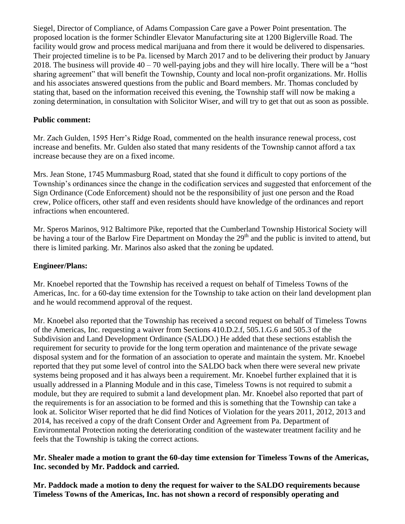Siegel, Director of Compliance, of Adams Compassion Care gave a Power Point presentation. The proposed location is the former Schindler Elevator Manufacturing site at 1200 Biglerville Road. The facility would grow and process medical marijuana and from there it would be delivered to dispensaries. Their projected timeline is to be Pa. licensed by March 2017 and to be delivering their product by January 2018. The business will provide  $40 - 70$  well-paying jobs and they will hire locally. There will be a "host" sharing agreement" that will benefit the Township, County and local non-profit organizations. Mr. Hollis and his associates answered questions from the public and Board members. Mr. Thomas concluded by stating that, based on the information received this evening, the Township staff will now be making a zoning determination, in consultation with Solicitor Wiser, and will try to get that out as soon as possible.

### **Public comment:**

Mr. Zach Gulden, 1595 Herr's Ridge Road, commented on the health insurance renewal process, cost increase and benefits. Mr. Gulden also stated that many residents of the Township cannot afford a tax increase because they are on a fixed income.

Mrs. Jean Stone, 1745 Mummasburg Road, stated that she found it difficult to copy portions of the Township's ordinances since the change in the codification services and suggested that enforcement of the Sign Ordinance (Code Enforcement) should not be the responsibility of just one person and the Road crew, Police officers, other staff and even residents should have knowledge of the ordinances and report infractions when encountered.

Mr. Speros Marinos, 912 Baltimore Pike, reported that the Cumberland Township Historical Society will be having a tour of the Barlow Fire Department on Monday the 29<sup>th</sup> and the public is invited to attend, but there is limited parking. Mr. Marinos also asked that the zoning be updated.

# **Engineer/Plans:**

Mr. Knoebel reported that the Township has received a request on behalf of Timeless Towns of the Americas, Inc. for a 60-day time extension for the Township to take action on their land development plan and he would recommend approval of the request.

Mr. Knoebel also reported that the Township has received a second request on behalf of Timeless Towns of the Americas, Inc. requesting a waiver from Sections 410.D.2.f, 505.1.G.6 and 505.3 of the Subdivision and Land Development Ordinance (SALDO.) He added that these sections establish the requirement for security to provide for the long term operation and maintenance of the private sewage disposal system and for the formation of an association to operate and maintain the system. Mr. Knoebel reported that they put some level of control into the SALDO back when there were several new private systems being proposed and it has always been a requirement. Mr. Knoebel further explained that it is usually addressed in a Planning Module and in this case, Timeless Towns is not required to submit a module, but they are required to submit a land development plan. Mr. Knoebel also reported that part of the requirements is for an association to be formed and this is something that the Township can take a look at. Solicitor Wiser reported that he did find Notices of Violation for the years 2011, 2012, 2013 and 2014, has received a copy of the draft Consent Order and Agreement from Pa. Department of Environmental Protection noting the deteriorating condition of the wastewater treatment facility and he feels that the Township is taking the correct actions.

### **Mr. Shealer made a motion to grant the 60-day time extension for Timeless Towns of the Americas, Inc. seconded by Mr. Paddock and carried.**

**Mr. Paddock made a motion to deny the request for waiver to the SALDO requirements because Timeless Towns of the Americas, Inc. has not shown a record of responsibly operating and**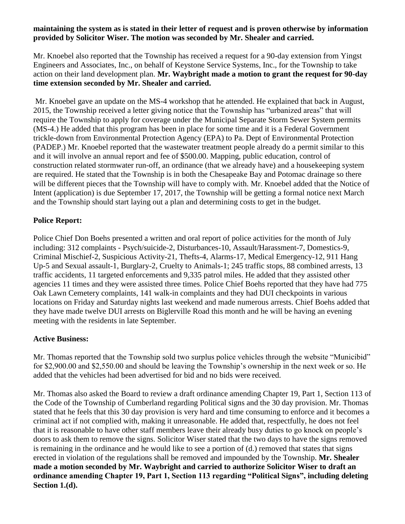#### **maintaining the system as is stated in their letter of request and is proven otherwise by information provided by Solicitor Wiser. The motion was seconded by Mr. Shealer and carried.**

Mr. Knoebel also reported that the Township has received a request for a 90-day extension from Yingst Engineers and Associates, Inc., on behalf of Keystone Service Systems, Inc., for the Township to take action on their land development plan. **Mr. Waybright made a motion to grant the request for 90-day time extension seconded by Mr. Shealer and carried.**

Mr. Knoebel gave an update on the MS-4 workshop that he attended. He explained that back in August, 2015, the Township received a letter giving notice that the Township has "urbanized areas" that will require the Township to apply for coverage under the Municipal Separate Storm Sewer System permits (MS-4.) He added that this program has been in place for some time and it is a Federal Government trickle-down from Environmental Protection Agency (EPA) to Pa. Dept of Environmental Protection (PADEP.) Mr. Knoebel reported that the wastewater treatment people already do a permit similar to this and it will involve an annual report and fee of \$500.00. Mapping, public education, control of construction related stormwater run-off, an ordinance (that we already have) and a housekeeping system are required. He stated that the Township is in both the Chesapeake Bay and Potomac drainage so there will be different pieces that the Township will have to comply with. Mr. Knoebel added that the Notice of Intent (application) is due September 17, 2017, the Township will be getting a formal notice next March and the Township should start laying out a plan and determining costs to get in the budget.

## **Police Report:**

Police Chief Don Boehs presented a written and oral report of police activities for the month of July including: 312 complaints - Psych/suicide-2, Disturbances-10, Assault/Harassment-7, Domestics-9, Criminal Mischief-2, Suspicious Activity-21, Thefts-4, Alarms-17, Medical Emergency-12, 911 Hang Up-5 and Sexual assault-1, Burglary-2, Cruelty to Animals-1; 245 traffic stops, 88 combined arrests, 13 traffic accidents, 11 targeted enforcements and 9,335 patrol miles. He added that they assisted other agencies 11 times and they were assisted three times. Police Chief Boehs reported that they have had 775 Oak Lawn Cemetery complaints, 141 walk-in complaints and they had DUI checkpoints in various locations on Friday and Saturday nights last weekend and made numerous arrests. Chief Boehs added that they have made twelve DUI arrests on Biglerville Road this month and he will be having an evening meeting with the residents in late September.

### **Active Business:**

Mr. Thomas reported that the Township sold two surplus police vehicles through the website "Municibid" for \$2,900.00 and \$2,550.00 and should be leaving the Township's ownership in the next week or so. He added that the vehicles had been advertised for bid and no bids were received.

Mr. Thomas also asked the Board to review a draft ordinance amending Chapter 19, Part 1, Section 113 of the Code of the Township of Cumberland regarding Political signs and the 30 day provision. Mr. Thomas stated that he feels that this 30 day provision is very hard and time consuming to enforce and it becomes a criminal act if not complied with, making it unreasonable. He added that, respectfully, he does not feel that it is reasonable to have other staff members leave their already busy duties to go knock on people's doors to ask them to remove the signs. Solicitor Wiser stated that the two days to have the signs removed is remaining in the ordinance and he would like to see a portion of (d.) removed that states that signs erected in violation of the regulations shall be removed and impounded by the Township. **Mr. Shealer made a motion seconded by Mr. Waybright and carried to authorize Solicitor Wiser to draft an ordinance amending Chapter 19, Part 1, Section 113 regarding "Political Signs", including deleting Section 1.(d).**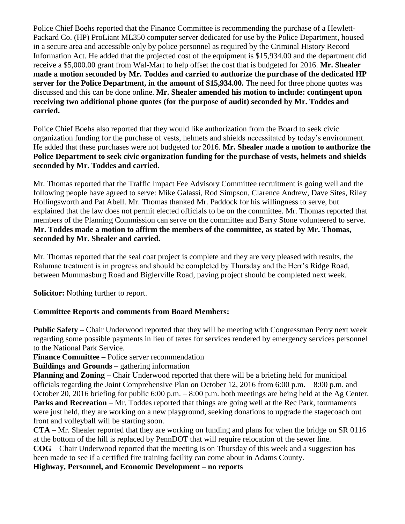Police Chief Boehs reported that the Finance Committee is recommending the purchase of a Hewlett-Packard Co. (HP) ProLiant ML350 computer server dedicated for use by the Police Department, housed in a secure area and accessible only by police personnel as required by the Criminal History Record Information Act. He added that the projected cost of the equipment is \$15,934.00 and the department did receive a \$5,000.00 grant from Wal-Mart to help offset the cost that is budgeted for 2016. **Mr. Shealer made a motion seconded by Mr. Toddes and carried to authorize the purchase of the dedicated HP server for the Police Department, in the amount of \$15,934.00.** The need for three phone quotes was discussed and this can be done online. **Mr. Shealer amended his motion to include: contingent upon receiving two additional phone quotes (for the purpose of audit) seconded by Mr. Toddes and carried.**

Police Chief Boehs also reported that they would like authorization from the Board to seek civic organization funding for the purchase of vests, helmets and shields necessitated by today's environment. He added that these purchases were not budgeted for 2016. **Mr. Shealer made a motion to authorize the Police Department to seek civic organization funding for the purchase of vests, helmets and shields seconded by Mr. Toddes and carried.**

Mr. Thomas reported that the Traffic Impact Fee Advisory Committee recruitment is going well and the following people have agreed to serve: Mike Galassi, Rod Simpson, Clarence Andrew, Dave Sites, Riley Hollingsworth and Pat Abell. Mr. Thomas thanked Mr. Paddock for his willingness to serve, but explained that the law does not permit elected officials to be on the committee. Mr. Thomas reported that members of the Planning Commission can serve on the committee and Barry Stone volunteered to serve. **Mr. Toddes made a motion to affirm the members of the committee, as stated by Mr. Thomas, seconded by Mr. Shealer and carried.**

Mr. Thomas reported that the seal coat project is complete and they are very pleased with results, the Ralumac treatment is in progress and should be completed by Thursday and the Herr's Ridge Road, between Mummasburg Road and Biglerville Road, paving project should be completed next week.

**Solicitor:** Nothing further to report.

# **Committee Reports and comments from Board Members:**

**Public Safety –** Chair Underwood reported that they will be meeting with Congressman Perry next week regarding some possible payments in lieu of taxes for services rendered by emergency services personnel to the National Park Service.

**Finance Committee –** Police server recommendation

**Buildings and Grounds** – gathering information

**Planning and Zoning –** Chair Underwood reported that there will be a briefing held for municipal officials regarding the Joint Comprehensive Plan on October 12, 2016 from 6:00 p.m. – 8:00 p.m. and October 20, 2016 briefing for public 6:00 p.m. – 8:00 p.m. both meetings are being held at the Ag Center. **Parks and Recreation** – Mr. Toddes reported that things are going well at the Rec Park, tournaments were just held, they are working on a new playground, seeking donations to upgrade the stagecoach out front and volleyball will be starting soon.

**CTA** – Mr. Shealer reported that they are working on funding and plans for when the bridge on SR 0116 at the bottom of the hill is replaced by PennDOT that will require relocation of the sewer line.

**COG** – Chair Underwood reported that the meeting is on Thursday of this week and a suggestion has been made to see if a certified fire training facility can come about in Adams County.

**Highway, Personnel, and Economic Development – no reports**